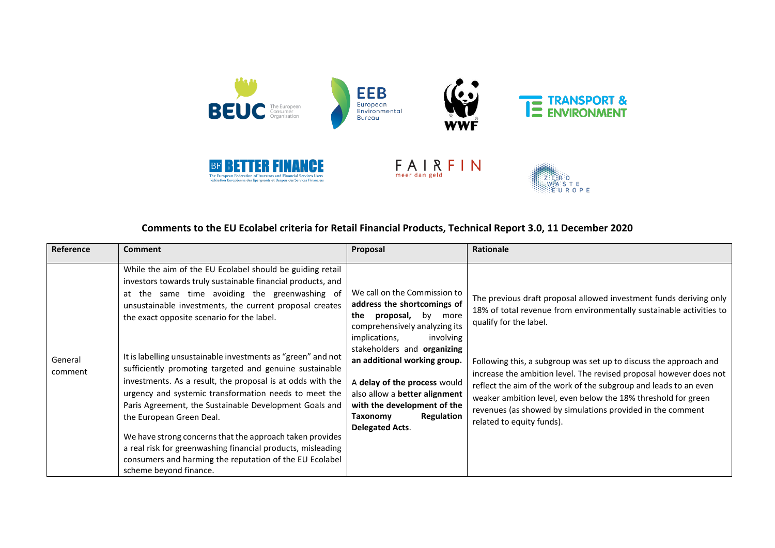

# **Comments to the EU Ecolabel criteria for Retail Financial Products, Technical Report 3.0, 11 December 2020**

| Reference          | <b>Comment</b>                                                                                                                                                                                                                                                                                                                                                                                                                                                                                                                                                                                                                                                                                                                                                                                                                             | Proposal                                                                                                                                                                                                                                                                                                                                                                        | Rationale                                                                                                                                                                                                                                                                                                                                                                                                                                                                                                                                      |
|--------------------|--------------------------------------------------------------------------------------------------------------------------------------------------------------------------------------------------------------------------------------------------------------------------------------------------------------------------------------------------------------------------------------------------------------------------------------------------------------------------------------------------------------------------------------------------------------------------------------------------------------------------------------------------------------------------------------------------------------------------------------------------------------------------------------------------------------------------------------------|---------------------------------------------------------------------------------------------------------------------------------------------------------------------------------------------------------------------------------------------------------------------------------------------------------------------------------------------------------------------------------|------------------------------------------------------------------------------------------------------------------------------------------------------------------------------------------------------------------------------------------------------------------------------------------------------------------------------------------------------------------------------------------------------------------------------------------------------------------------------------------------------------------------------------------------|
| General<br>comment | While the aim of the EU Ecolabel should be guiding retail<br>investors towards truly sustainable financial products, and<br>at the same time avoiding the greenwashing of<br>unsustainable investments, the current proposal creates<br>the exact opposite scenario for the label.<br>It is labelling unsustainable investments as "green" and not<br>sufficiently promoting targeted and genuine sustainable<br>investments. As a result, the proposal is at odds with the<br>urgency and systemic transformation needs to meet the<br>Paris Agreement, the Sustainable Development Goals and<br>the European Green Deal.<br>We have strong concerns that the approach taken provides<br>a real risk for greenwashing financial products, misleading<br>consumers and harming the reputation of the EU Ecolabel<br>scheme beyond finance. | We call on the Commission to<br>address the shortcomings of<br>proposal,<br>by<br>the<br>more<br>comprehensively analyzing its<br>implications,<br>involving<br>stakeholders and organizing<br>an additional working group.<br>A delay of the process would<br>also allow a better alignment<br>with the development of the<br>Regulation<br>Taxonomy<br><b>Delegated Acts.</b> | The previous draft proposal allowed investment funds deriving only<br>18% of total revenue from environmentally sustainable activities to<br>qualify for the label.<br>Following this, a subgroup was set up to discuss the approach and<br>increase the ambition level. The revised proposal however does not<br>reflect the aim of the work of the subgroup and leads to an even<br>weaker ambition level, even below the 18% threshold for green<br>revenues (as showed by simulations provided in the comment<br>related to equity funds). |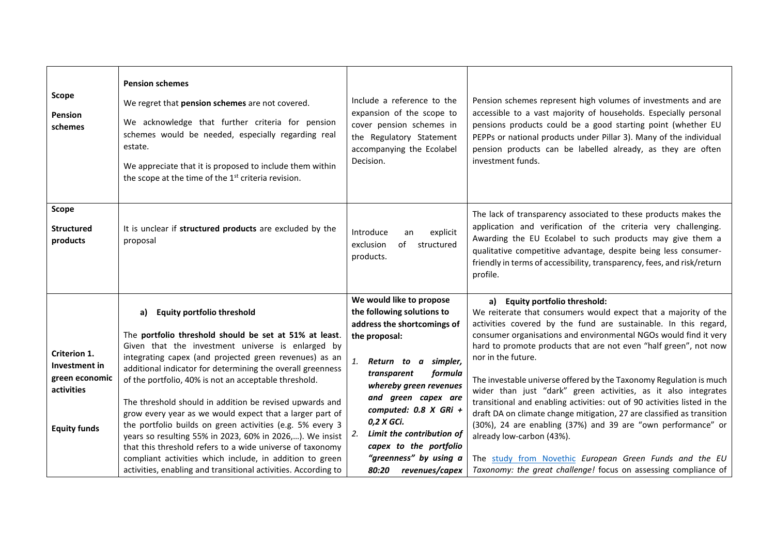| Scope<br>Pension<br>schemes                                                          | <b>Pension schemes</b><br>We regret that pension schemes are not covered.<br>We acknowledge that further criteria for pension<br>schemes would be needed, especially regarding real<br>estate.<br>We appreciate that it is proposed to include them within<br>the scope at the time of the 1 <sup>st</sup> criteria revision.                                                                                                                                                                                                                                                                                                                        | Include a reference to the<br>expansion of the scope to<br>cover pension schemes in<br>the Regulatory Statement<br>accompanying the Ecolabel<br>Decision.                                                                                                                                                          | Pension schemes represent high volumes of investments and are<br>accessible to a vast majority of households. Especially personal<br>pensions products could be a good starting point (whether EU<br>PEPPs or national products under Pillar 3). Many of the individual<br>pension products can be labelled already, as they are often<br>investment funds.                                                                                                                                                                                                                                                                                                                                                                   |
|--------------------------------------------------------------------------------------|------------------------------------------------------------------------------------------------------------------------------------------------------------------------------------------------------------------------------------------------------------------------------------------------------------------------------------------------------------------------------------------------------------------------------------------------------------------------------------------------------------------------------------------------------------------------------------------------------------------------------------------------------|--------------------------------------------------------------------------------------------------------------------------------------------------------------------------------------------------------------------------------------------------------------------------------------------------------------------|-------------------------------------------------------------------------------------------------------------------------------------------------------------------------------------------------------------------------------------------------------------------------------------------------------------------------------------------------------------------------------------------------------------------------------------------------------------------------------------------------------------------------------------------------------------------------------------------------------------------------------------------------------------------------------------------------------------------------------|
| <b>Scope</b><br><b>Structured</b><br>products                                        | It is unclear if structured products are excluded by the<br>proposal                                                                                                                                                                                                                                                                                                                                                                                                                                                                                                                                                                                 | Introduce<br>explicit<br>an<br>of<br>exclusion<br>structured<br>products.                                                                                                                                                                                                                                          | The lack of transparency associated to these products makes the<br>application and verification of the criteria very challenging.<br>Awarding the EU Ecolabel to such products may give them a<br>qualitative competitive advantage, despite being less consumer-<br>friendly in terms of accessibility, transparency, fees, and risk/return<br>profile.                                                                                                                                                                                                                                                                                                                                                                      |
| Criterion 1.<br>Investment in<br>green economic<br>activities<br><b>Equity funds</b> | <b>Equity portfolio threshold</b><br>a)<br>The portfolio threshold should be set at 51% at least.<br>Given that the investment universe is enlarged by<br>integrating capex (and projected green revenues) as an<br>additional indicator for determining the overall greenness<br>of the portfolio, 40% is not an acceptable threshold.<br>The threshold should in addition be revised upwards and<br>grow every year as we would expect that a larger part of<br>the portfolio builds on green activities (e.g. 5% every 3<br>years so resulting 55% in 2023, 60% in 2026,). We insist<br>that this threshold refers to a wide universe of taxonomy | We would like to propose<br>the following solutions to<br>address the shortcomings of<br>the proposal:<br>1. Return to a simpler,<br>transparent<br>formula<br>whereby green revenues<br>and green capex are<br>computed: $0.8$ X GRi +<br>0,2 X GCi.<br>Limit the contribution of<br>2.<br>capex to the portfolio | a) Equity portfolio threshold:<br>We reiterate that consumers would expect that a majority of the<br>activities covered by the fund are sustainable. In this regard,<br>consumer organisations and environmental NGOs would find it very<br>hard to promote products that are not even "half green", not now<br>nor in the future.<br>The investable universe offered by the Taxonomy Regulation is much<br>wider than just "dark" green activities, as it also integrates<br>transitional and enabling activities: out of 90 activities listed in the<br>draft DA on climate change mitigation, 27 are classified as transition<br>(30%), 24 are enabling (37%) and 39 are "own performance" or<br>already low-carbon (43%). |
|                                                                                      | compliant activities which include, in addition to green<br>activities, enabling and transitional activities. According to                                                                                                                                                                                                                                                                                                                                                                                                                                                                                                                           | "greenness" by using a<br>80:20<br>revenues/capex                                                                                                                                                                                                                                                                  | The study from Novethic European Green Funds and the EU<br>Taxonomy: the great challenge! focus on assessing compliance of                                                                                                                                                                                                                                                                                                                                                                                                                                                                                                                                                                                                    |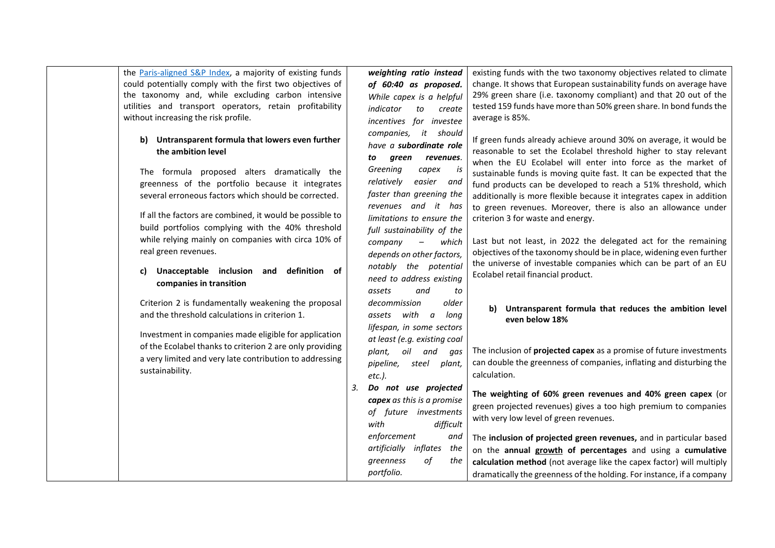the [Paris-aligned S&P Index,](https://www.spglobal.com/spdji/en/indices/equity/sp-europe-largemidcap-paris-aligned-climate-index/#overview) a majority of existing funds could potentially comply with the first two objectives of the taxonomy and, while excluding carbon intensive utilities and transport operators, retain profitability without increasing the risk profile.

### **b) Untransparent formula that lowers even further the ambition level**

The formula proposed alters dramatically the greenness of the portfolio because it integrates several erroneous factors which should be corrected.

If all the factors are combined, it would be possible to build portfolios complying with the 40% threshold while relying mainly on companies with circa 10% of real green revenues.

### **c) Unacceptable inclusion and definition of companies in transition**

Criterion 2 is fundamentally weakening the proposal and the threshold calculations in criterion 1.

Investment in companies made eligible for application of the Ecolabel thanks to criterion 2 are only providing a very limited and very late contribution to addressing sustainability.

*weighting ratio instead of 60:40 as proposed. While capex is a helpful indicator to create incentives for investee companies, it should have a subordinate role to green revenues. Greening capex is relatively easier and faster than greening the revenues and it has limitations to ensure the full sustainability of the company – which depends on other factors, notably the potential need to address existing assets and to decommission older assets with a long lifespan, in some sectors at least (e.g. existing coal plant, oil and gas pipeline, steel plant, etc.). 3. Do not use projected* 

*capex as this is a promise of future investments with difficult enforcement and artificially inflates the greenness of the portfolio.* 

existing funds with the two taxonomy objectives related to climate change. It shows that European sustainability funds on average have 29% green share (i.e. taxonomy compliant) and that 20 out of the tested 159 funds have more than 50% green share. In bond funds the average is 85%.

If green funds already achieve around 30% on average, it would be reasonable to set the Ecolabel threshold higher to stay relevant when the EU Ecolabel will enter into force as the market of sustainable funds is moving quite fast. It can be expected that the fund products can be developed to reach a 51% threshold, which additionally is more flexible because it integrates capex in addition to green revenues. Moreover, there is also an allowance under criterion 3 for waste and energy.

Last but not least, in 2022 the delegated act for the remaining objectives of the taxonomy should be in place, widening even further the universe of investable companies which can be part of an EU Ecolabel retail financial product.

### **b) Untransparent formula that reduces the ambition level even below 18%**

The inclusion of **projected capex** as a promise of future investments can double the greenness of companies, inflating and disturbing the calculation.

**The weighting of 60% green revenues and 40% green capex** (or green projected revenues) gives a too high premium to companies with very low level of green revenues.

The **inclusion of projected green revenues,** and in particular based on the **annual growth of percentages** and using a **cumulative calculation method** (not average like the capex factor) will multiply dramatically the greenness of the holding. For instance, if a company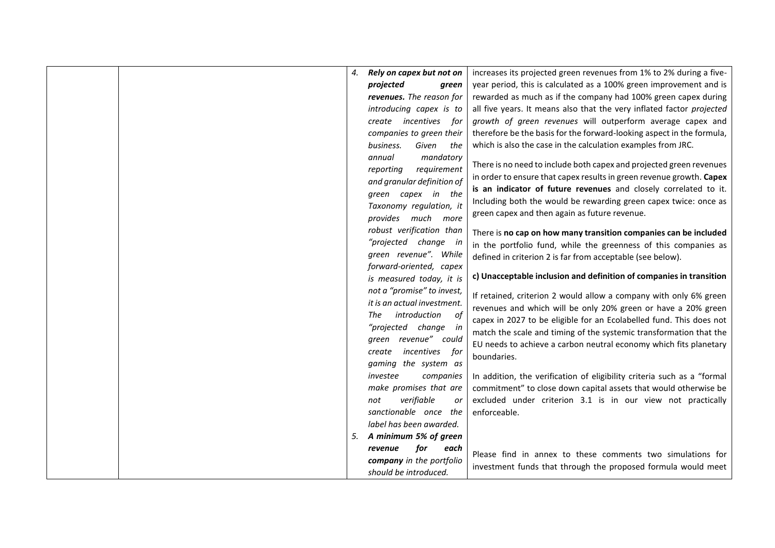|  | 4. | Rely on capex but not on    | increases its projected green revenues from 1% to 2% during a five-     |
|--|----|-----------------------------|-------------------------------------------------------------------------|
|  |    | projected<br>green          | year period, this is calculated as a 100% green improvement and is      |
|  |    | revenues. The reason for    | rewarded as much as if the company had 100% green capex during          |
|  |    | introducing capex is to     | all five years. It means also that the very inflated factor projected   |
|  |    | create incentives for       | growth of green revenues will outperform average capex and              |
|  |    | companies to green their    | therefore be the basis for the forward-looking aspect in the formula,   |
|  |    | business.<br>Given<br>the   | which is also the case in the calculation examples from JRC.            |
|  |    | mandatory<br>annual         |                                                                         |
|  |    | requirement<br>reporting    | There is no need to include both capex and projected green revenues     |
|  |    | and granular definition of  | in order to ensure that capex results in green revenue growth. Capex    |
|  |    | green capex in the          | is an indicator of future revenues and closely correlated to it.        |
|  |    | Taxonomy regulation, it     | Including both the would be rewarding green capex twice: once as        |
|  |    | provides much more          | green capex and then again as future revenue.                           |
|  |    | robust verification than    |                                                                         |
|  |    | "projected change in        | There is no cap on how many transition companies can be included        |
|  |    | green revenue". While       | in the portfolio fund, while the greenness of this companies as         |
|  |    | forward-oriented, capex     | defined in criterion 2 is far from acceptable (see below).              |
|  |    | is measured today, it is    | c) Unacceptable inclusion and definition of companies in transition     |
|  |    | not a "promise" to invest,  |                                                                         |
|  |    | it is an actual investment. | If retained, criterion 2 would allow a company with only 6% green       |
|  |    | introduction<br>The         | revenues and which will be only 20% green or have a 20% green           |
|  |    | of                          | capex in 2027 to be eligible for an Ecolabelled fund. This does not     |
|  |    | "projected change in        | match the scale and timing of the systemic transformation that the      |
|  |    | green revenue" could        | EU needs to achieve a carbon neutral economy which fits planetary       |
|  |    | create incentives for       | boundaries.                                                             |
|  |    | gaming the system as        |                                                                         |
|  |    | investee<br>companies       | In addition, the verification of eligibility criteria such as a "formal |
|  |    | make promises that are      | commitment" to close down capital assets that would otherwise be        |
|  |    | verifiable<br>not<br>or     | excluded under criterion 3.1 is in our view not practically             |
|  |    | sanctionable once the       | enforceable.                                                            |
|  |    | label has been awarded.     |                                                                         |
|  | 5. | A minimum 5% of green       |                                                                         |
|  |    | for<br>revenue<br>each      | Please find in annex to these comments two simulations for              |
|  |    | company in the portfolio    | investment funds that through the proposed formula would meet           |
|  |    | should be introduced.       |                                                                         |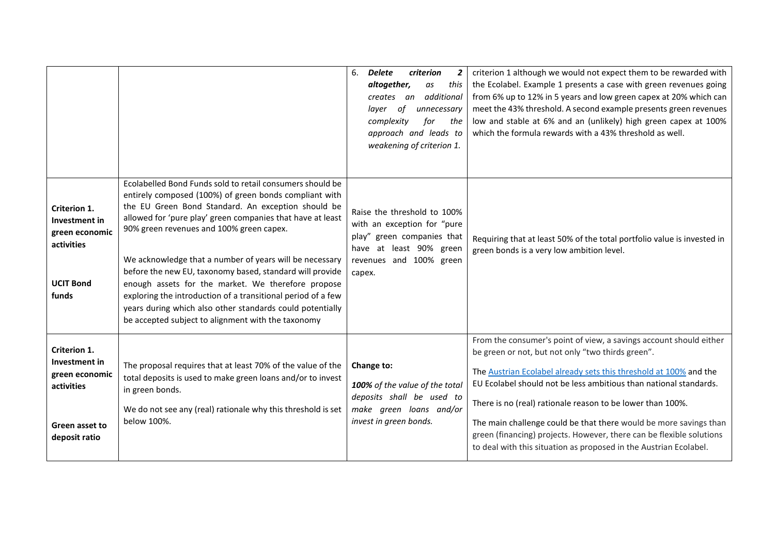|                                                                                                         |                                                                                                                                                                                                                                                                                                                                                                                                                                                                                                                                                                                                                                                     | 6.<br>Delete<br><b>criterion</b><br>$\mathbf{2}$<br>altogether,<br>this<br>as<br>additional<br>creates<br>an<br>of<br>unnecessary<br>laver<br>complexity<br>for<br>the<br>approach and leads to<br>weakening of criterion 1. | criterion 1 although we would not expect them to be rewarded with<br>the Ecolabel. Example 1 presents a case with green revenues going<br>from 6% up to 12% in 5 years and low green capex at 20% which can<br>meet the 43% threshold. A second example presents green revenues<br>low and stable at 6% and an (unlikely) high green capex at 100%<br>which the formula rewards with a 43% threshold as well.                                                                                                                                     |
|---------------------------------------------------------------------------------------------------------|-----------------------------------------------------------------------------------------------------------------------------------------------------------------------------------------------------------------------------------------------------------------------------------------------------------------------------------------------------------------------------------------------------------------------------------------------------------------------------------------------------------------------------------------------------------------------------------------------------------------------------------------------------|------------------------------------------------------------------------------------------------------------------------------------------------------------------------------------------------------------------------------|---------------------------------------------------------------------------------------------------------------------------------------------------------------------------------------------------------------------------------------------------------------------------------------------------------------------------------------------------------------------------------------------------------------------------------------------------------------------------------------------------------------------------------------------------|
| Criterion 1.<br><b>Investment in</b><br>green economic<br>activities<br><b>UCIT Bond</b><br>funds       | Ecolabelled Bond Funds sold to retail consumers should be<br>entirely composed (100%) of green bonds compliant with<br>the EU Green Bond Standard. An exception should be<br>allowed for 'pure play' green companies that have at least<br>90% green revenues and 100% green capex.<br>We acknowledge that a number of years will be necessary<br>before the new EU, taxonomy based, standard will provide<br>enough assets for the market. We therefore propose<br>exploring the introduction of a transitional period of a few<br>years during which also other standards could potentially<br>be accepted subject to alignment with the taxonomy | Raise the threshold to 100%<br>with an exception for "pure<br>play" green companies that<br>have at least 90% green<br>revenues and 100% green<br>capex.                                                                     | Requiring that at least 50% of the total portfolio value is invested in<br>green bonds is a very low ambition level.                                                                                                                                                                                                                                                                                                                                                                                                                              |
| Criterion 1.<br>Investment in<br>green economic<br>activities<br><b>Green asset to</b><br>deposit ratio | The proposal requires that at least 70% of the value of the<br>total deposits is used to make green loans and/or to invest<br>in green bonds.<br>We do not see any (real) rationale why this threshold is set<br>below 100%.                                                                                                                                                                                                                                                                                                                                                                                                                        | Change to:<br>100% of the value of the total<br>deposits shall be used to<br>make green loans and/or<br>invest in green bonds.                                                                                               | From the consumer's point of view, a savings account should either<br>be green or not, but not only "two thirds green".<br>The Austrian Ecolabel already sets this threshold at 100% and the<br>EU Ecolabel should not be less ambitious than national standards.<br>There is no (real) rationale reason to be lower than 100%.<br>The main challenge could be that there would be more savings than<br>green (financing) projects. However, there can be flexible solutions<br>to deal with this situation as proposed in the Austrian Ecolabel. |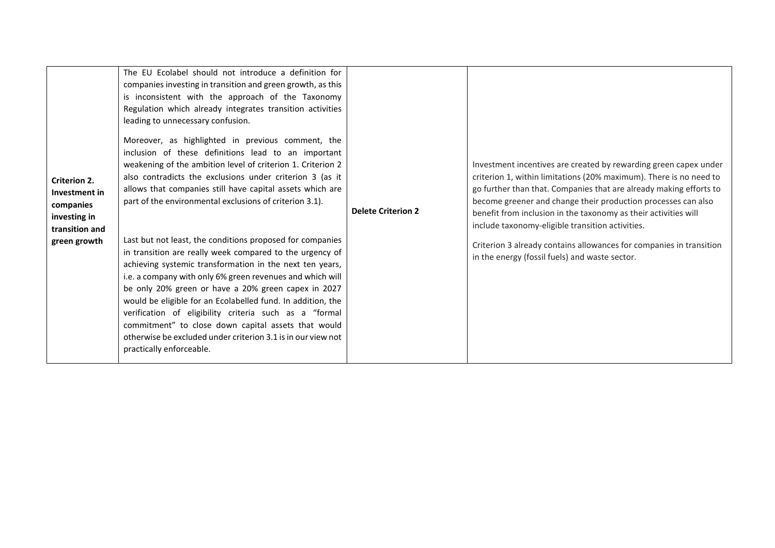| <b>Criterion 2.</b><br>Investment in<br>companies<br>investing in<br>transition and<br>green growth | The EU Ecolabel should not introduce a definition for<br>companies investing in transition and green growth, as this<br>is inconsistent with the approach of the Taxonomy<br>Regulation which already integrates transition activities<br>leading to unnecessary confusion.<br>Moreover, as highlighted in previous comment, the<br>inclusion of these definitions lead to an important<br>weakening of the ambition level of criterion 1. Criterion 2<br>also contradicts the exclusions under criterion 3 (as it<br>allows that companies still have capital assets which are<br>part of the environmental exclusions of criterion 3.1).<br>Last but not least, the conditions proposed for companies<br>in transition are really week compared to the urgency of<br>achieving systemic transformation in the next ten years,<br>i.e. a company with only 6% green revenues and which will<br>be only 20% green or have a 20% green capex in 2027<br>would be eligible for an Ecolabelled fund. In addition, the<br>verification of eligibility criteria such as a "formal<br>commitment" to close down capital assets that would<br>otherwise be excluded under criterion 3.1 is in our view not<br>practically enforceable. | <b>Delete Criterion 2</b> | Investment incentives are created by rewarding green capex under<br>criterion 1, within limitations (20% maximum). There is no need to<br>go further than that. Companies that are already making efforts to<br>become greener and change their production processes can also<br>benefit from inclusion in the taxonomy as their activities will<br>include taxonomy-eligible transition activities.<br>Criterion 3 already contains allowances for companies in transition<br>in the energy (fossil fuels) and waste sector. |
|-----------------------------------------------------------------------------------------------------|---------------------------------------------------------------------------------------------------------------------------------------------------------------------------------------------------------------------------------------------------------------------------------------------------------------------------------------------------------------------------------------------------------------------------------------------------------------------------------------------------------------------------------------------------------------------------------------------------------------------------------------------------------------------------------------------------------------------------------------------------------------------------------------------------------------------------------------------------------------------------------------------------------------------------------------------------------------------------------------------------------------------------------------------------------------------------------------------------------------------------------------------------------------------------------------------------------------------------------|---------------------------|-------------------------------------------------------------------------------------------------------------------------------------------------------------------------------------------------------------------------------------------------------------------------------------------------------------------------------------------------------------------------------------------------------------------------------------------------------------------------------------------------------------------------------|
|-----------------------------------------------------------------------------------------------------|---------------------------------------------------------------------------------------------------------------------------------------------------------------------------------------------------------------------------------------------------------------------------------------------------------------------------------------------------------------------------------------------------------------------------------------------------------------------------------------------------------------------------------------------------------------------------------------------------------------------------------------------------------------------------------------------------------------------------------------------------------------------------------------------------------------------------------------------------------------------------------------------------------------------------------------------------------------------------------------------------------------------------------------------------------------------------------------------------------------------------------------------------------------------------------------------------------------------------------|---------------------------|-------------------------------------------------------------------------------------------------------------------------------------------------------------------------------------------------------------------------------------------------------------------------------------------------------------------------------------------------------------------------------------------------------------------------------------------------------------------------------------------------------------------------------|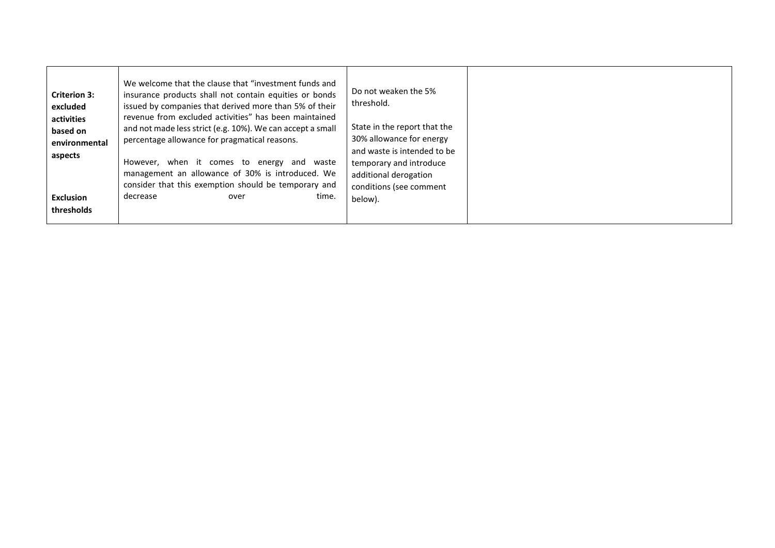| <b>Criterion 3:</b><br>excluded<br>activities<br>based on<br>environmental<br>aspects<br><b>Exclusion</b><br>thresholds | We welcome that the clause that "investment funds and<br>insurance products shall not contain equities or bonds<br>issued by companies that derived more than 5% of their<br>revenue from excluded activities" has been maintained<br>and not made less strict (e.g. 10%). We can accept a small<br>percentage allowance for pragmatical reasons.<br>However, when it comes to energy<br>and waste<br>management an allowance of 30% is introduced. We<br>consider that this exemption should be temporary and<br>decrease<br>time.<br>over | Do not weaken the 5%<br>threshold.<br>State in the report that the<br>30% allowance for energy<br>and waste is intended to be<br>temporary and introduce<br>additional derogation<br>conditions (see comment<br>below). |  |
|-------------------------------------------------------------------------------------------------------------------------|---------------------------------------------------------------------------------------------------------------------------------------------------------------------------------------------------------------------------------------------------------------------------------------------------------------------------------------------------------------------------------------------------------------------------------------------------------------------------------------------------------------------------------------------|-------------------------------------------------------------------------------------------------------------------------------------------------------------------------------------------------------------------------|--|
|-------------------------------------------------------------------------------------------------------------------------|---------------------------------------------------------------------------------------------------------------------------------------------------------------------------------------------------------------------------------------------------------------------------------------------------------------------------------------------------------------------------------------------------------------------------------------------------------------------------------------------------------------------------------------------|-------------------------------------------------------------------------------------------------------------------------------------------------------------------------------------------------------------------------|--|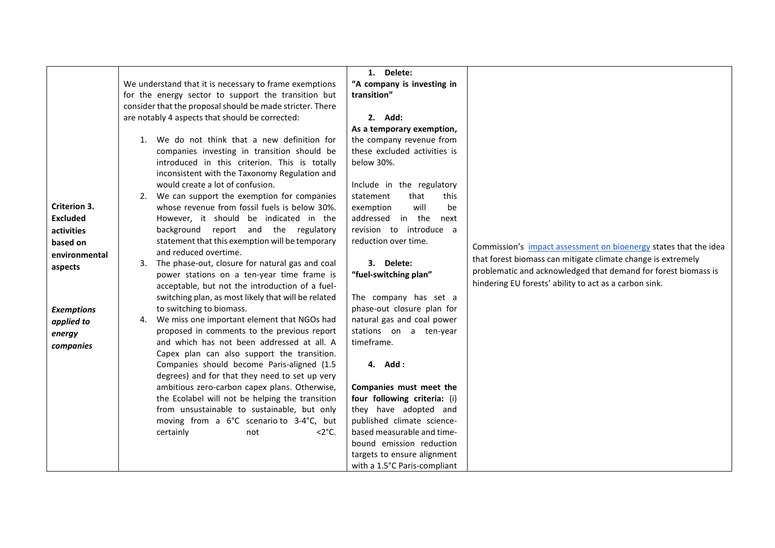|                   |                                                                                 | 1. Delete:                   |                                                                  |
|-------------------|---------------------------------------------------------------------------------|------------------------------|------------------------------------------------------------------|
|                   | We understand that it is necessary to frame exemptions                          | "A company is investing in   |                                                                  |
|                   | for the energy sector to support the transition but                             | transition"                  |                                                                  |
|                   | consider that the proposal should be made stricter. There                       |                              |                                                                  |
|                   | are notably 4 aspects that should be corrected:                                 | 2. Add:                      |                                                                  |
|                   |                                                                                 | As a temporary exemption,    |                                                                  |
|                   | 1. We do not think that a new definition for                                    | the company revenue from     |                                                                  |
|                   | companies investing in transition should be                                     | these excluded activities is |                                                                  |
|                   | introduced in this criterion. This is totally                                   | below 30%.                   |                                                                  |
|                   | inconsistent with the Taxonomy Regulation and                                   |                              |                                                                  |
|                   | would create a lot of confusion.                                                | Include in the regulatory    |                                                                  |
|                   | 2. We can support the exemption for companies                                   | that<br>statement<br>this    |                                                                  |
| Criterion 3.      | whose revenue from fossil fuels is below 30%.                                   | will<br>be<br>exemption      |                                                                  |
| <b>Excluded</b>   | However, it should be indicated in the                                          | addressed in the<br>next     |                                                                  |
| activities        | background report and the regulatory                                            | revision to introduce a      |                                                                  |
| based on          | statement that this exemption will be temporary                                 | reduction over time.         | Commission's impact assessment on bioenergy states that the idea |
| environmental     | and reduced overtime.                                                           |                              | that forest biomass can mitigate climate change is extremely     |
| aspects           | 3. The phase-out, closure for natural gas and coal                              | 3. Delete:                   | problematic and acknowledged that demand for forest biomass is   |
|                   | power stations on a ten-year time frame is                                      | "fuel-switching plan"        | hindering EU forests' ability to act as a carbon sink.           |
|                   | acceptable, but not the introduction of a fuel-                                 | The company has set a        |                                                                  |
|                   | switching plan, as most likely that will be related<br>to switching to biomass. | phase-out closure plan for   |                                                                  |
| <b>Exemptions</b> | We miss one important element that NGOs had<br>4.                               | natural gas and coal power   |                                                                  |
| applied to        | proposed in comments to the previous report                                     | stations on a ten-year       |                                                                  |
| energy            | and which has not been addressed at all. A                                      | timeframe.                   |                                                                  |
| companies         | Capex plan can also support the transition.                                     |                              |                                                                  |
|                   | Companies should become Paris-aligned (1.5                                      | 4. Add:                      |                                                                  |
|                   | degrees) and for that they need to set up very                                  |                              |                                                                  |
|                   | ambitious zero-carbon capex plans. Otherwise,                                   | Companies must meet the      |                                                                  |
|                   | the Ecolabel will not be helping the transition                                 | four following criteria: (i) |                                                                  |
|                   | from unsustainable to sustainable, but only                                     | they have adopted and        |                                                                  |
|                   | moving from a 6°C scenario to 3-4°C, but                                        | published climate science-   |                                                                  |
|                   | certainly<br>$<$ 2 $^{\circ}$ C.<br>not                                         | based measurable and time-   |                                                                  |
|                   |                                                                                 | bound emission reduction     |                                                                  |
|                   |                                                                                 | targets to ensure alignment  |                                                                  |
|                   |                                                                                 | with a 1.5°C Paris-compliant |                                                                  |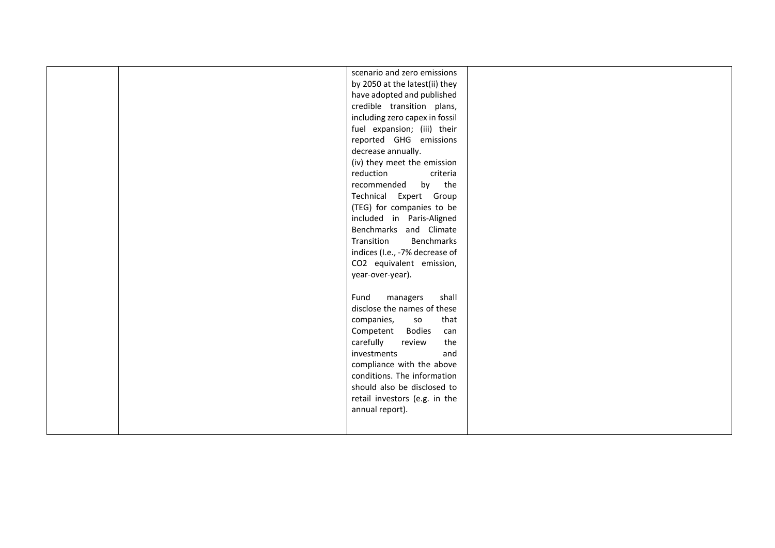|  | scenario and zero emissions    |  |
|--|--------------------------------|--|
|  | by 2050 at the latest(ii) they |  |
|  | have adopted and published     |  |
|  | credible transition plans,     |  |
|  | including zero capex in fossil |  |
|  | fuel expansion; (iii) their    |  |
|  | reported GHG emissions         |  |
|  | decrease annually.             |  |
|  | (iv) they meet the emission    |  |
|  | reduction<br>criteria          |  |
|  | by the<br>recommended          |  |
|  | Technical Expert Group         |  |
|  | (TEG) for companies to be      |  |
|  | included in Paris-Aligned      |  |
|  | Benchmarks and Climate         |  |
|  | Transition<br>Benchmarks       |  |
|  | indices (I.e., -7% decrease of |  |
|  | CO2 equivalent emission,       |  |
|  | year-over-year).               |  |
|  |                                |  |
|  | Fund<br>managers<br>shall      |  |
|  | disclose the names of these    |  |
|  | that<br>companies,<br>so       |  |
|  | Competent Bodies<br>can        |  |
|  | carefully<br>the<br>review     |  |
|  | and<br>investments             |  |
|  | compliance with the above      |  |
|  | conditions. The information    |  |
|  | should also be disclosed to    |  |
|  | retail investors (e.g. in the  |  |
|  | annual report).                |  |
|  |                                |  |
|  |                                |  |
|  |                                |  |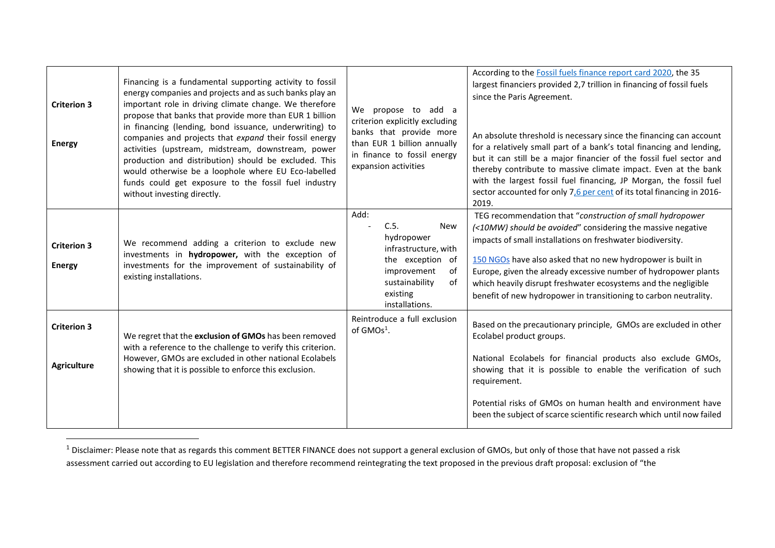| <b>Criterion 3</b><br><b>Energy</b>      | Financing is a fundamental supporting activity to fossil<br>energy companies and projects and as such banks play an<br>important role in driving climate change. We therefore<br>propose that banks that provide more than EUR 1 billion<br>in financing (lending, bond issuance, underwriting) to<br>companies and projects that expand their fossil energy<br>activities (upstream, midstream, downstream, power<br>production and distribution) should be excluded. This<br>would otherwise be a loophole where EU Eco-labelled<br>funds could get exposure to the fossil fuel industry<br>without investing directly. | We propose to add a<br>criterion explicitly excluding<br>banks that provide more<br>than EUR 1 billion annually<br>in finance to fossil energy<br>expansion activities | According to the Fossil fuels finance report card 2020, the 35<br>largest financiers provided 2,7 trillion in financing of fossil fuels<br>since the Paris Agreement.<br>An absolute threshold is necessary since the financing can account<br>for a relatively small part of a bank's total financing and lending,<br>but it can still be a major financier of the fossil fuel sector and<br>thereby contribute to massive climate impact. Even at the bank<br>with the largest fossil fuel financing, JP Morgan, the fossil fuel<br>sector accounted for only 7,6 per cent of its total financing in 2016-<br>2019. |
|------------------------------------------|---------------------------------------------------------------------------------------------------------------------------------------------------------------------------------------------------------------------------------------------------------------------------------------------------------------------------------------------------------------------------------------------------------------------------------------------------------------------------------------------------------------------------------------------------------------------------------------------------------------------------|------------------------------------------------------------------------------------------------------------------------------------------------------------------------|-----------------------------------------------------------------------------------------------------------------------------------------------------------------------------------------------------------------------------------------------------------------------------------------------------------------------------------------------------------------------------------------------------------------------------------------------------------------------------------------------------------------------------------------------------------------------------------------------------------------------|
| <b>Criterion 3</b><br><b>Energy</b>      | We recommend adding a criterion to exclude new<br>investments in hydropower, with the exception of<br>investments for the improvement of sustainability of<br>existing installations.                                                                                                                                                                                                                                                                                                                                                                                                                                     | Add:<br>C.5.<br><b>New</b><br>hydropower<br>infrastructure, with<br>the exception of<br>improvement<br>of<br>sustainability<br>of<br>existing<br>installations.        | TEG recommendation that "construction of small hydropower<br>(<10MW) should be avoided" considering the massive negative<br>impacts of small installations on freshwater biodiversity.<br>150 NGOs have also asked that no new hydropower is built in<br>Europe, given the already excessive number of hydropower plants<br>which heavily disrupt freshwater ecosystems and the negligible<br>benefit of new hydropower in transitioning to carbon neutrality.                                                                                                                                                        |
| <b>Criterion 3</b><br><b>Agriculture</b> | We regret that the exclusion of GMOs has been removed<br>with a reference to the challenge to verify this criterion.<br>However, GMOs are excluded in other national Ecolabels<br>showing that it is possible to enforce this exclusion.                                                                                                                                                                                                                                                                                                                                                                                  | Reintroduce a full exclusion<br>of $GMOs1$ .                                                                                                                           | Based on the precautionary principle, GMOs are excluded in other<br>Ecolabel product groups.<br>National Ecolabels for financial products also exclude GMOs,<br>showing that it is possible to enable the verification of such<br>requirement.<br>Potential risks of GMOs on human health and environment have<br>been the subject of scarce scientific research which until now failed                                                                                                                                                                                                                               |

 $1$  Disclaimer: Please note that as regards this comment BETTER FINANCE does not support a general exclusion of GMOs, but only of those that have not passed a risk assessment carried out according to EU legislation and therefore recommend reintegrating the text proposed in the previous draft proposal: exclusion of "the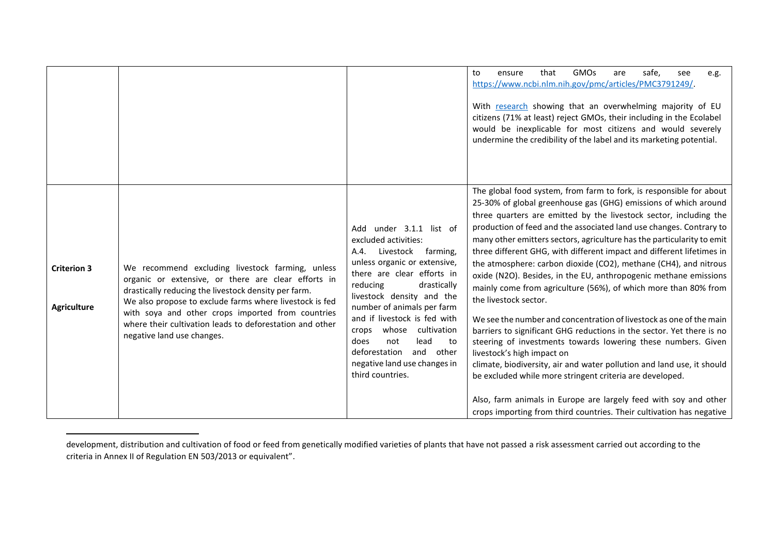|                                          |                                                                                                                                                                                                                                                                                                                                                                           |                                                                                                                                                                                                                                                                                                                                                                                                                         | <b>GMOs</b><br>that<br>safe,<br>to<br>are<br>ensure<br>see<br>e.g.<br>https://www.ncbi.nlm.nih.gov/pmc/articles/PMC3791249/.<br>With research showing that an overwhelming majority of EU<br>citizens (71% at least) reject GMOs, their including in the Ecolabel<br>would be inexplicable for most citizens and would severely<br>undermine the credibility of the label and its marketing potential.                                                                                                                                                                                                                                                                                                                                                                                                                                                                                                                                                                                                                                                                                                                                                                                                     |
|------------------------------------------|---------------------------------------------------------------------------------------------------------------------------------------------------------------------------------------------------------------------------------------------------------------------------------------------------------------------------------------------------------------------------|-------------------------------------------------------------------------------------------------------------------------------------------------------------------------------------------------------------------------------------------------------------------------------------------------------------------------------------------------------------------------------------------------------------------------|------------------------------------------------------------------------------------------------------------------------------------------------------------------------------------------------------------------------------------------------------------------------------------------------------------------------------------------------------------------------------------------------------------------------------------------------------------------------------------------------------------------------------------------------------------------------------------------------------------------------------------------------------------------------------------------------------------------------------------------------------------------------------------------------------------------------------------------------------------------------------------------------------------------------------------------------------------------------------------------------------------------------------------------------------------------------------------------------------------------------------------------------------------------------------------------------------------|
| <b>Criterion 3</b><br><b>Agriculture</b> | We recommend excluding livestock farming, unless<br>organic or extensive, or there are clear efforts in<br>drastically reducing the livestock density per farm.<br>We also propose to exclude farms where livestock is fed<br>with soya and other crops imported from countries<br>where their cultivation leads to deforestation and other<br>negative land use changes. | Add under 3.1.1 list of<br>excluded activities:<br>Livestock<br>farming,<br>A.4.<br>unless organic or extensive,<br>there are clear efforts in<br>reducing<br>drastically<br>livestock density and the<br>number of animals per farm<br>and if livestock is fed with<br>cultivation<br>whose<br>crops<br>not<br>lead<br>does<br>to<br>deforestation<br>and<br>other<br>negative land use changes in<br>third countries. | The global food system, from farm to fork, is responsible for about<br>25-30% of global greenhouse gas (GHG) emissions of which around<br>three quarters are emitted by the livestock sector, including the<br>production of feed and the associated land use changes. Contrary to<br>many other emitters sectors, agriculture has the particularity to emit<br>three different GHG, with different impact and different lifetimes in<br>the atmosphere: carbon dioxide (CO2), methane (CH4), and nitrous<br>oxide (N2O). Besides, in the EU, anthropogenic methane emissions<br>mainly come from agriculture (56%), of which more than 80% from<br>the livestock sector.<br>We see the number and concentration of livestock as one of the main<br>barriers to significant GHG reductions in the sector. Yet there is no<br>steering of investments towards lowering these numbers. Given<br>livestock's high impact on<br>climate, biodiversity, air and water pollution and land use, it should<br>be excluded while more stringent criteria are developed.<br>Also, farm animals in Europe are largely feed with soy and other<br>crops importing from third countries. Their cultivation has negative |

development, distribution and cultivation of food or feed from genetically modified varieties of plants that have not passed a risk assessment carried out according to the criteria in Annex II of Regulation EN 503/2013 or equivalent".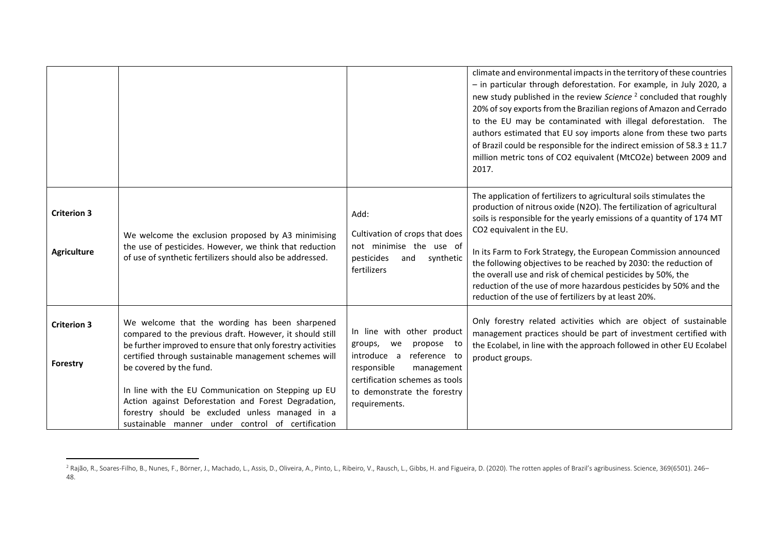|                                          |                                                                                                                                                                                                                                                                                                                                                                                                                                                                                      |                                                                                                                                                                                                         | climate and environmental impacts in the territory of these countries<br>- in particular through deforestation. For example, in July 2020, a<br>new study published in the review Science <sup>2</sup> concluded that roughly<br>20% of soy exports from the Brazilian regions of Amazon and Cerrado<br>to the EU may be contaminated with illegal deforestation. The<br>authors estimated that EU soy imports alone from these two parts<br>of Brazil could be responsible for the indirect emission of $58.3 \pm 11.7$<br>million metric tons of CO2 equivalent (MtCO2e) between 2009 and<br>2017. |
|------------------------------------------|--------------------------------------------------------------------------------------------------------------------------------------------------------------------------------------------------------------------------------------------------------------------------------------------------------------------------------------------------------------------------------------------------------------------------------------------------------------------------------------|---------------------------------------------------------------------------------------------------------------------------------------------------------------------------------------------------------|------------------------------------------------------------------------------------------------------------------------------------------------------------------------------------------------------------------------------------------------------------------------------------------------------------------------------------------------------------------------------------------------------------------------------------------------------------------------------------------------------------------------------------------------------------------------------------------------------|
| <b>Criterion 3</b><br><b>Agriculture</b> | We welcome the exclusion proposed by A3 minimising<br>the use of pesticides. However, we think that reduction<br>of use of synthetic fertilizers should also be addressed.                                                                                                                                                                                                                                                                                                           | Add:<br>Cultivation of crops that does<br>not minimise the use of<br>pesticides<br>and<br>synthetic<br>fertilizers                                                                                      | The application of fertilizers to agricultural soils stimulates the<br>production of nitrous oxide (N2O). The fertilization of agricultural<br>soils is responsible for the yearly emissions of a quantity of 174 MT<br>CO2 equivalent in the EU.<br>In its Farm to Fork Strategy, the European Commission announced<br>the following objectives to be reached by 2030: the reduction of<br>the overall use and risk of chemical pesticides by 50%, the<br>reduction of the use of more hazardous pesticides by 50% and the<br>reduction of the use of fertilizers by at least 20%.                  |
| <b>Criterion 3</b><br>Forestry           | We welcome that the wording has been sharpened<br>compared to the previous draft. However, it should still<br>be further improved to ensure that only forestry activities<br>certified through sustainable management schemes will<br>be covered by the fund.<br>In line with the EU Communication on Stepping up EU<br>Action against Deforestation and Forest Degradation,<br>forestry should be excluded unless managed in a<br>sustainable manner under control of certification | In line with other product<br>groups,<br>propose to<br>we<br>introduce a<br>reference to<br>responsible<br>management<br>certification schemes as tools<br>to demonstrate the forestry<br>requirements. | Only forestry related activities which are object of sustainable<br>management practices should be part of investment certified with<br>the Ecolabel, in line with the approach followed in other EU Ecolabel<br>product groups.                                                                                                                                                                                                                                                                                                                                                                     |

<sup>&</sup>lt;sup>2</sup> Rajão, R., Soares-Filho, B., Nunes, F., Börner, J., Machado, L., Assis, D., Oliveira, A., Pinto, L., Ribeiro, V., Rausch, L., Gibbs, H. and Figueira, D. (2020). The rotten apples of Brazil's agribusiness. Science, 369( 48.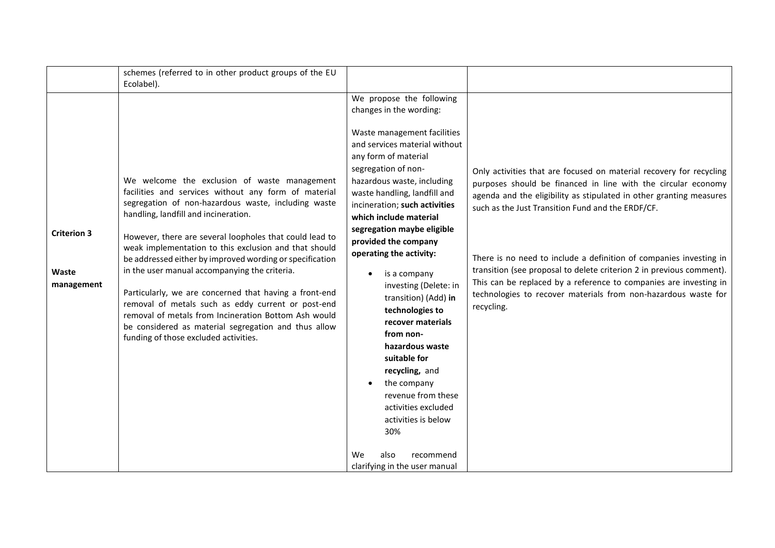|                                           | schemes (referred to in other product groups of the EU<br>Ecolabel).                                                                                                                                                                                                                                                                                                                                                                                                                                                                                                                                                                                                                                          |                                                                                                                                                                                                                                                                                                                                                                                                                                                                                                                                                                                                                                                                                                               |                                                                                                                                                                                                                                                                                                                                                                                                                                                                                                                                                                     |
|-------------------------------------------|---------------------------------------------------------------------------------------------------------------------------------------------------------------------------------------------------------------------------------------------------------------------------------------------------------------------------------------------------------------------------------------------------------------------------------------------------------------------------------------------------------------------------------------------------------------------------------------------------------------------------------------------------------------------------------------------------------------|---------------------------------------------------------------------------------------------------------------------------------------------------------------------------------------------------------------------------------------------------------------------------------------------------------------------------------------------------------------------------------------------------------------------------------------------------------------------------------------------------------------------------------------------------------------------------------------------------------------------------------------------------------------------------------------------------------------|---------------------------------------------------------------------------------------------------------------------------------------------------------------------------------------------------------------------------------------------------------------------------------------------------------------------------------------------------------------------------------------------------------------------------------------------------------------------------------------------------------------------------------------------------------------------|
| <b>Criterion 3</b><br>Waste<br>management | We welcome the exclusion of waste management<br>facilities and services without any form of material<br>segregation of non-hazardous waste, including waste<br>handling, landfill and incineration.<br>However, there are several loopholes that could lead to<br>weak implementation to this exclusion and that should<br>be addressed either by improved wording or specification<br>in the user manual accompanying the criteria.<br>Particularly, we are concerned that having a front-end<br>removal of metals such as eddy current or post-end<br>removal of metals from Incineration Bottom Ash would<br>be considered as material segregation and thus allow<br>funding of those excluded activities. | We propose the following<br>changes in the wording:<br>Waste management facilities<br>and services material without<br>any form of material<br>segregation of non-<br>hazardous waste, including<br>waste handling, landfill and<br>incineration; such activities<br>which include material<br>segregation maybe eligible<br>provided the company<br>operating the activity:<br>is a company<br>investing (Delete: in<br>transition) (Add) in<br>technologies to<br>recover materials<br>from non-<br>hazardous waste<br>suitable for<br>recycling, and<br>the company<br>revenue from these<br>activities excluded<br>activities is below<br>30%<br>also<br>recommend<br>We<br>clarifying in the user manual | Only activities that are focused on material recovery for recycling<br>purposes should be financed in line with the circular economy<br>agenda and the eligibility as stipulated in other granting measures<br>such as the Just Transition Fund and the ERDF/CF.<br>There is no need to include a definition of companies investing in<br>transition (see proposal to delete criterion 2 in previous comment).<br>This can be replaced by a reference to companies are investing in<br>technologies to recover materials from non-hazardous waste for<br>recycling. |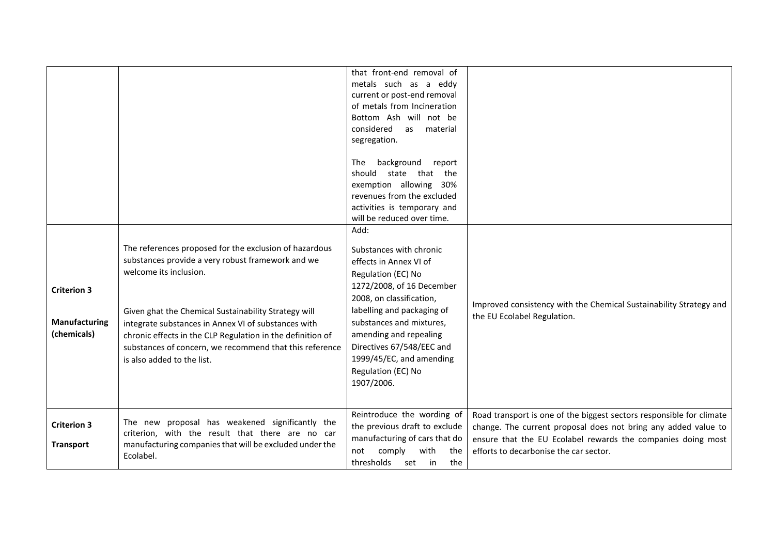|                                                    |                                                                                                                                                                                                                                                                                                                                                                                                             | that front-end removal of<br>metals such as a eddy<br>current or post-end removal<br>of metals from Incineration<br>Bottom Ash will not be<br>considered<br>as<br>material<br>segregation.                                                                                                                                |                                                                                                                                                                                                                                                  |
|----------------------------------------------------|-------------------------------------------------------------------------------------------------------------------------------------------------------------------------------------------------------------------------------------------------------------------------------------------------------------------------------------------------------------------------------------------------------------|---------------------------------------------------------------------------------------------------------------------------------------------------------------------------------------------------------------------------------------------------------------------------------------------------------------------------|--------------------------------------------------------------------------------------------------------------------------------------------------------------------------------------------------------------------------------------------------|
|                                                    |                                                                                                                                                                                                                                                                                                                                                                                                             | background<br>The<br>report<br>should<br>state that the<br>exemption allowing 30%<br>revenues from the excluded<br>activities is temporary and<br>will be reduced over time.                                                                                                                                              |                                                                                                                                                                                                                                                  |
| <b>Criterion 3</b><br>Manufacturing<br>(chemicals) | The references proposed for the exclusion of hazardous<br>substances provide a very robust framework and we<br>welcome its inclusion.<br>Given ghat the Chemical Sustainability Strategy will<br>integrate substances in Annex VI of substances with<br>chronic effects in the CLP Regulation in the definition of<br>substances of concern, we recommend that this reference<br>is also added to the list. | Add:<br>Substances with chronic<br>effects in Annex VI of<br>Regulation (EC) No<br>1272/2008, of 16 December<br>2008, on classification,<br>labelling and packaging of<br>substances and mixtures,<br>amending and repealing<br>Directives 67/548/EEC and<br>1999/45/EC, and amending<br>Regulation (EC) No<br>1907/2006. | Improved consistency with the Chemical Sustainability Strategy and<br>the EU Ecolabel Regulation.                                                                                                                                                |
| <b>Criterion 3</b><br><b>Transport</b>             | The new proposal has weakened significantly the<br>criterion, with the result that there are no car<br>manufacturing companies that will be excluded under the<br>Ecolabel.                                                                                                                                                                                                                                 | Reintroduce the wording of<br>the previous draft to exclude<br>manufacturing of cars that do<br>comply<br>with<br>the<br>not<br>thresholds set in<br>the                                                                                                                                                                  | Road transport is one of the biggest sectors responsible for climate<br>change. The current proposal does not bring any added value to<br>ensure that the EU Ecolabel rewards the companies doing most<br>efforts to decarbonise the car sector. |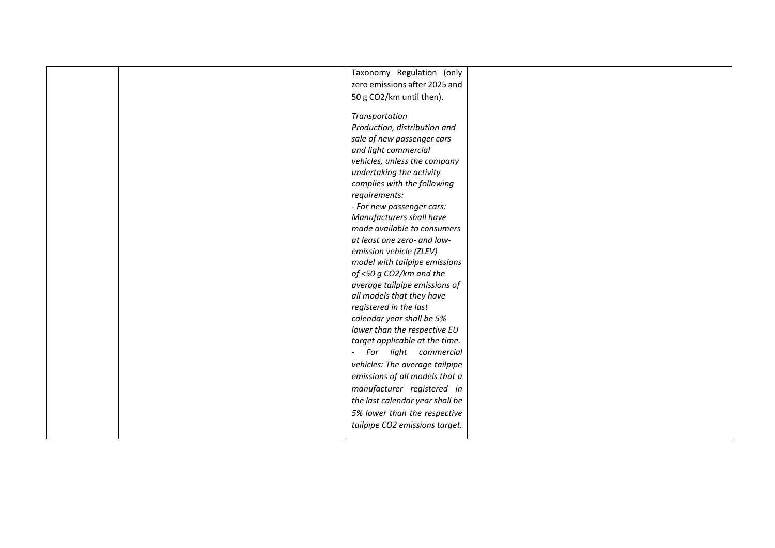|  | Taxonomy Regulation (only       |  |
|--|---------------------------------|--|
|  | zero emissions after 2025 and   |  |
|  | 50 g CO2/km until then).        |  |
|  |                                 |  |
|  | Transportation                  |  |
|  | Production, distribution and    |  |
|  | sale of new passenger cars      |  |
|  | and light commercial            |  |
|  | vehicles, unless the company    |  |
|  | undertaking the activity        |  |
|  | complies with the following     |  |
|  | requirements:                   |  |
|  | - For new passenger cars:       |  |
|  | Manufacturers shall have        |  |
|  | made available to consumers     |  |
|  | at least one zero- and low-     |  |
|  | emission vehicle (ZLEV)         |  |
|  | model with tailpipe emissions   |  |
|  | of <50 g CO2/km and the         |  |
|  | average tailpipe emissions of   |  |
|  | all models that they have       |  |
|  | registered in the last          |  |
|  | calendar year shall be 5%       |  |
|  | lower than the respective EU    |  |
|  | target applicable at the time.  |  |
|  | For light commercial<br>$\sim$  |  |
|  | vehicles: The average tailpipe  |  |
|  | emissions of all models that a  |  |
|  | manufacturer registered in      |  |
|  | the last calendar year shall be |  |
|  | 5% lower than the respective    |  |
|  | tailpipe CO2 emissions target.  |  |
|  |                                 |  |
|  |                                 |  |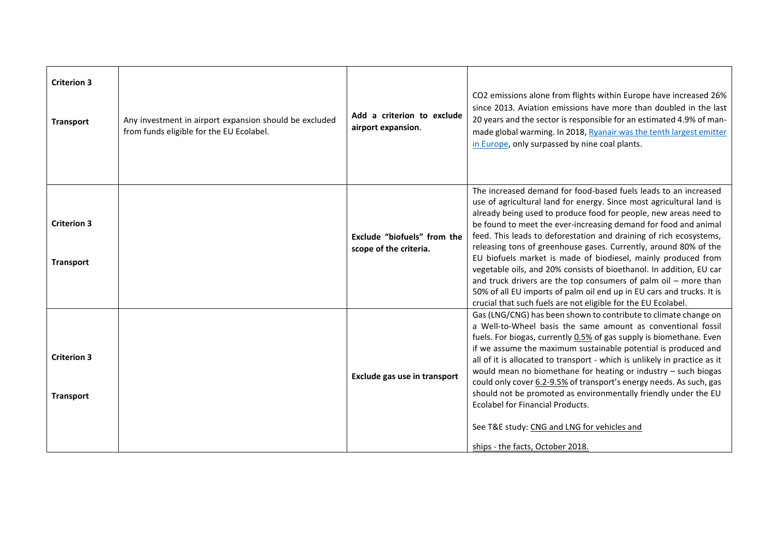| <b>Criterion 3</b><br><b>Transport</b> | Any investment in airport expansion should be excluded<br>from funds eligible for the EU Ecolabel. | Add a criterion to exclude<br>airport expansion.      | CO2 emissions alone from flights within Europe have increased 26%<br>since 2013. Aviation emissions have more than doubled in the last<br>20 years and the sector is responsible for an estimated 4.9% of man-<br>made global warming. In 2018, Ryanair was the tenth largest emitter<br>in Europe, only surpassed by nine coal plants.                                                                                                                                                                                                                                                                                                                                                                                                                                         |
|----------------------------------------|----------------------------------------------------------------------------------------------------|-------------------------------------------------------|---------------------------------------------------------------------------------------------------------------------------------------------------------------------------------------------------------------------------------------------------------------------------------------------------------------------------------------------------------------------------------------------------------------------------------------------------------------------------------------------------------------------------------------------------------------------------------------------------------------------------------------------------------------------------------------------------------------------------------------------------------------------------------|
| <b>Criterion 3</b><br><b>Transport</b> |                                                                                                    | Exclude "biofuels" from the<br>scope of the criteria. | The increased demand for food-based fuels leads to an increased<br>use of agricultural land for energy. Since most agricultural land is<br>already being used to produce food for people, new areas need to<br>be found to meet the ever-increasing demand for food and animal<br>feed. This leads to deforestation and draining of rich ecosystems,<br>releasing tons of greenhouse gases. Currently, around 80% of the<br>EU biofuels market is made of biodiesel, mainly produced from<br>vegetable oils, and 20% consists of bioethanol. In addition, EU car<br>and truck drivers are the top consumers of palm oil $-$ more than<br>50% of all EU imports of palm oil end up in EU cars and trucks. It is<br>crucial that such fuels are not eligible for the EU Ecolabel. |
| <b>Criterion 3</b><br><b>Transport</b> |                                                                                                    | Exclude gas use in transport                          | Gas (LNG/CNG) has been shown to contribute to climate change on<br>a Well-to-Wheel basis the same amount as conventional fossil<br>fuels. For biogas, currently 0.5% of gas supply is biomethane. Even<br>if we assume the maximum sustainable potential is produced and<br>all of it is allocated to transport - which is unlikely in practice as it<br>would mean no biomethane for heating or industry - such biogas<br>could only cover 6.2-9.5% of transport's energy needs. As such, gas<br>should not be promoted as environmentally friendly under the EU<br>Ecolabel for Financial Products.<br>See T&E study: CNG and LNG for vehicles and<br>ships - the facts, October 2018.                                                                                        |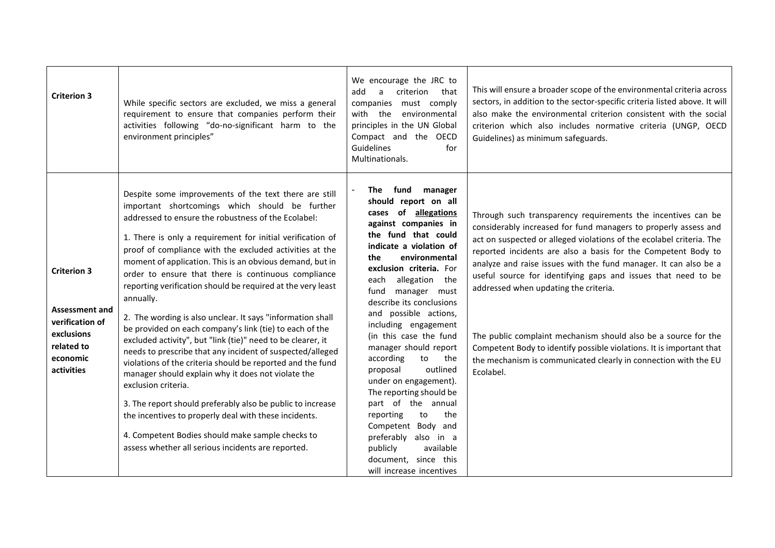| <b>Criterion 3</b>                                                                                                   | While specific sectors are excluded, we miss a general<br>requirement to ensure that companies perform their<br>activities following "do-no-significant harm to the<br>environment principles"                                                                                                                                                                                                                                                                                                                                                                                                                                                                                                                                                                                                                                                                                                                                                                                                                                                                                                                          | We encourage the JRC to<br>criterion<br>add<br>a<br>that<br>companies must comply<br>with the<br>environmental<br>principles in the UN Global<br>Compact and the OECD<br>Guidelines<br>for<br>Multinationals.                                                                                                                                                                                                                                                                                                                                                                                                                                                          | This will ensure a broader scope of the environmental criteria across<br>sectors, in addition to the sector-specific criteria listed above. It will<br>also make the environmental criterion consistent with the social<br>criterion which also includes normative criteria (UNGP, OECD<br>Guidelines) as minimum safeguards.                                                                                                                                                                                                                                                                                                                                                    |
|----------------------------------------------------------------------------------------------------------------------|-------------------------------------------------------------------------------------------------------------------------------------------------------------------------------------------------------------------------------------------------------------------------------------------------------------------------------------------------------------------------------------------------------------------------------------------------------------------------------------------------------------------------------------------------------------------------------------------------------------------------------------------------------------------------------------------------------------------------------------------------------------------------------------------------------------------------------------------------------------------------------------------------------------------------------------------------------------------------------------------------------------------------------------------------------------------------------------------------------------------------|------------------------------------------------------------------------------------------------------------------------------------------------------------------------------------------------------------------------------------------------------------------------------------------------------------------------------------------------------------------------------------------------------------------------------------------------------------------------------------------------------------------------------------------------------------------------------------------------------------------------------------------------------------------------|----------------------------------------------------------------------------------------------------------------------------------------------------------------------------------------------------------------------------------------------------------------------------------------------------------------------------------------------------------------------------------------------------------------------------------------------------------------------------------------------------------------------------------------------------------------------------------------------------------------------------------------------------------------------------------|
| <b>Criterion 3</b><br><b>Assessment and</b><br>verification of<br>exclusions<br>related to<br>economic<br>activities | Despite some improvements of the text there are still<br>important shortcomings which should be further<br>addressed to ensure the robustness of the Ecolabel:<br>1. There is only a requirement for initial verification of<br>proof of compliance with the excluded activities at the<br>moment of application. This is an obvious demand, but in<br>order to ensure that there is continuous compliance<br>reporting verification should be required at the very least<br>annually.<br>2. The wording is also unclear. It says "information shall<br>be provided on each company's link (tie) to each of the<br>excluded activity", but "link (tie)" need to be clearer, it<br>needs to prescribe that any incident of suspected/alleged<br>violations of the criteria should be reported and the fund<br>manager should explain why it does not violate the<br>exclusion criteria.<br>3. The report should preferably also be public to increase<br>the incentives to properly deal with these incidents.<br>4. Competent Bodies should make sample checks to<br>assess whether all serious incidents are reported. | fund<br>manager<br>The<br>should report on all<br>cases of allegations<br>against companies in<br>the fund that could<br>indicate a violation of<br>the<br>environmental<br>exclusion criteria. For<br>allegation the<br>each<br>manager must<br>fund<br>describe its conclusions<br>and possible actions,<br>including engagement<br>(in this case the fund<br>manager should report<br>according<br>to<br>the<br>outlined<br>proposal<br>under on engagement).<br>The reporting should be<br>part of the annual<br>reporting<br>the<br>to<br>Competent Body and<br>preferably also in a<br>publicly<br>available<br>document, since this<br>will increase incentives | Through such transparency requirements the incentives can be<br>considerably increased for fund managers to properly assess and<br>act on suspected or alleged violations of the ecolabel criteria. The<br>reported incidents are also a basis for the Competent Body to<br>analyze and raise issues with the fund manager. It can also be a<br>useful source for identifying gaps and issues that need to be<br>addressed when updating the criteria.<br>The public complaint mechanism should also be a source for the<br>Competent Body to identify possible violations. It is important that<br>the mechanism is communicated clearly in connection with the EU<br>Ecolabel. |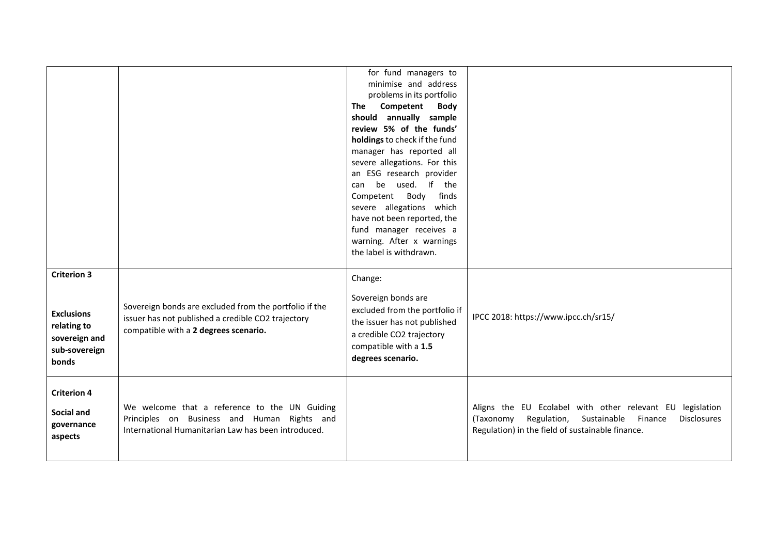|                                                                                                   |                                                                                                                                                       | for fund managers to<br>minimise and address<br>problems in its portfolio<br>Competent<br><b>The</b><br><b>Body</b><br>should annually sample<br>review 5% of the funds'<br>holdings to check if the fund<br>manager has reported all<br>severe allegations. For this<br>an ESG research provider<br>can be used. If the<br>Body<br>finds<br>Competent<br>severe allegations which<br>have not been reported, the<br>fund manager receives a<br>warning. After x warnings<br>the label is withdrawn. |                                                                                                                                                                                     |
|---------------------------------------------------------------------------------------------------|-------------------------------------------------------------------------------------------------------------------------------------------------------|------------------------------------------------------------------------------------------------------------------------------------------------------------------------------------------------------------------------------------------------------------------------------------------------------------------------------------------------------------------------------------------------------------------------------------------------------------------------------------------------------|-------------------------------------------------------------------------------------------------------------------------------------------------------------------------------------|
| <b>Criterion 3</b><br><b>Exclusions</b><br>relating to<br>sovereign and<br>sub-sovereign<br>bonds | Sovereign bonds are excluded from the portfolio if the<br>issuer has not published a credible CO2 trajectory<br>compatible with a 2 degrees scenario. | Change:<br>Sovereign bonds are<br>excluded from the portfolio if<br>the issuer has not published<br>a credible CO2 trajectory<br>compatible with a 1.5<br>degrees scenario.                                                                                                                                                                                                                                                                                                                          | IPCC 2018: https://www.ipcc.ch/sr15/                                                                                                                                                |
| <b>Criterion 4</b><br>Social and<br>governance<br>aspects                                         | We welcome that a reference to the UN Guiding<br>Principles on Business and Human Rights and<br>International Humanitarian Law has been introduced.   |                                                                                                                                                                                                                                                                                                                                                                                                                                                                                                      | Aligns the EU Ecolabel with other relevant EU legislation<br>(Taxonomy Regulation, Sustainable<br>Finance<br><b>Disclosures</b><br>Regulation) in the field of sustainable finance. |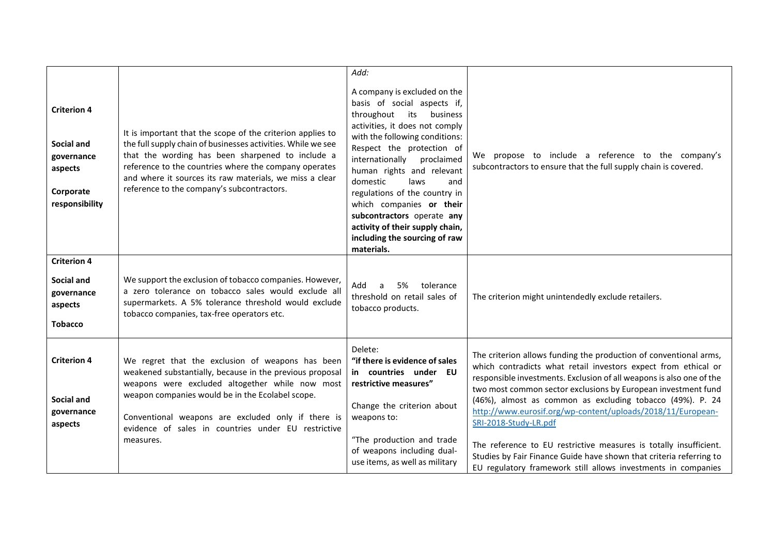| <b>Criterion 4</b><br><b>Social and</b><br>governance<br>aspects<br>Corporate<br>responsibility | It is important that the scope of the criterion applies to<br>the full supply chain of businesses activities. While we see<br>that the wording has been sharpened to include a<br>reference to the countries where the company operates<br>and where it sources its raw materials, we miss a clear<br>reference to the company's subcontractors. | Add:<br>A company is excluded on the<br>basis of social aspects if,<br>throughout its<br>business<br>activities, it does not comply<br>with the following conditions:<br>Respect the protection of<br>internationally<br>proclaimed<br>human rights and relevant<br>domestic<br>laws<br>and<br>regulations of the country in<br>which companies or their<br>subcontractors operate any<br>activity of their supply chain,<br>including the sourcing of raw<br>materials. | We propose to include a reference to the company's<br>subcontractors to ensure that the full supply chain is covered.                                                                                                                                                                                                                                                                                                                                                                                                                                                                                                                          |
|-------------------------------------------------------------------------------------------------|--------------------------------------------------------------------------------------------------------------------------------------------------------------------------------------------------------------------------------------------------------------------------------------------------------------------------------------------------|--------------------------------------------------------------------------------------------------------------------------------------------------------------------------------------------------------------------------------------------------------------------------------------------------------------------------------------------------------------------------------------------------------------------------------------------------------------------------|------------------------------------------------------------------------------------------------------------------------------------------------------------------------------------------------------------------------------------------------------------------------------------------------------------------------------------------------------------------------------------------------------------------------------------------------------------------------------------------------------------------------------------------------------------------------------------------------------------------------------------------------|
| <b>Criterion 4</b><br>Social and<br>governance<br>aspects<br><b>Tobacco</b>                     | We support the exclusion of tobacco companies. However,<br>a zero tolerance on tobacco sales would exclude all<br>supermarkets. A 5% tolerance threshold would exclude<br>tobacco companies, tax-free operators etc.                                                                                                                             | tolerance<br>Add<br>5%<br>a<br>threshold on retail sales of<br>tobacco products.                                                                                                                                                                                                                                                                                                                                                                                         | The criterion might unintendedly exclude retailers.                                                                                                                                                                                                                                                                                                                                                                                                                                                                                                                                                                                            |
| <b>Criterion 4</b><br>Social and<br>governance<br>aspects                                       | We regret that the exclusion of weapons has been<br>weakened substantially, because in the previous proposal<br>weapons were excluded altogether while now most<br>weapon companies would be in the Ecolabel scope.<br>Conventional weapons are excluded only if there is<br>evidence of sales in countries under EU restrictive<br>measures.    | Delete:<br>"if there is evidence of sales<br>in countries under EU<br>restrictive measures"<br>Change the criterion about<br>weapons to:<br>"The production and trade<br>of weapons including dual-<br>use items, as well as military                                                                                                                                                                                                                                    | The criterion allows funding the production of conventional arms,<br>which contradicts what retail investors expect from ethical or<br>responsible investments. Exclusion of all weapons is also one of the<br>two most common sector exclusions by European investment fund<br>(46%), almost as common as excluding tobacco (49%). P. 24<br>http://www.eurosif.org/wp-content/uploads/2018/11/European-<br>SRI-2018-Study-LR.pdf<br>The reference to EU restrictive measures is totally insufficient.<br>Studies by Fair Finance Guide have shown that criteria referring to<br>EU regulatory framework still allows investments in companies |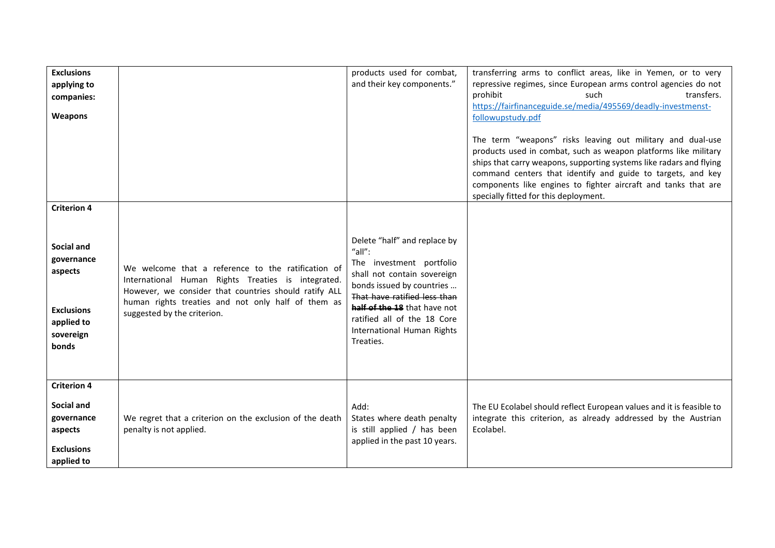| <b>Exclusions</b><br>applying to<br>companies:<br>Weapons                                                          |                                                                                                                                                                                                                                                        | products used for combat,<br>and their key components."                                                                                                                                                                                                                  | transferring arms to conflict areas, like in Yemen, or to very<br>repressive regimes, since European arms control agencies do not<br>prohibit<br>transfers.<br>such<br>https://fairfinanceguide.se/media/495569/deadly-investmenst-<br>followupstudy.pdf<br>The term "weapons" risks leaving out military and dual-use<br>products used in combat, such as weapon platforms like military<br>ships that carry weapons, supporting systems like radars and flying<br>command centers that identify and guide to targets, and key<br>components like engines to fighter aircraft and tanks that are<br>specially fitted for this deployment. |
|--------------------------------------------------------------------------------------------------------------------|--------------------------------------------------------------------------------------------------------------------------------------------------------------------------------------------------------------------------------------------------------|--------------------------------------------------------------------------------------------------------------------------------------------------------------------------------------------------------------------------------------------------------------------------|--------------------------------------------------------------------------------------------------------------------------------------------------------------------------------------------------------------------------------------------------------------------------------------------------------------------------------------------------------------------------------------------------------------------------------------------------------------------------------------------------------------------------------------------------------------------------------------------------------------------------------------------|
| <b>Criterion 4</b><br>Social and<br>governance<br>aspects<br><b>Exclusions</b><br>applied to<br>sovereign<br>bonds | We welcome that a reference to the ratification of<br>International Human Rights Treaties is integrated.<br>However, we consider that countries should ratify ALL<br>human rights treaties and not only half of them as<br>suggested by the criterion. | Delete "half" and replace by<br>"all":<br>The investment portfolio<br>shall not contain sovereign<br>bonds issued by countries<br>That have ratified less than<br>half of the 18 that have not<br>ratified all of the 18 Core<br>International Human Rights<br>Treaties. |                                                                                                                                                                                                                                                                                                                                                                                                                                                                                                                                                                                                                                            |
| <b>Criterion 4</b><br>Social and<br>governance<br>aspects<br><b>Exclusions</b><br>applied to                       | We regret that a criterion on the exclusion of the death<br>penalty is not applied.                                                                                                                                                                    | Add:<br>States where death penalty<br>is still applied / has been<br>applied in the past 10 years.                                                                                                                                                                       | The EU Ecolabel should reflect European values and it is feasible to<br>integrate this criterion, as already addressed by the Austrian<br>Ecolabel.                                                                                                                                                                                                                                                                                                                                                                                                                                                                                        |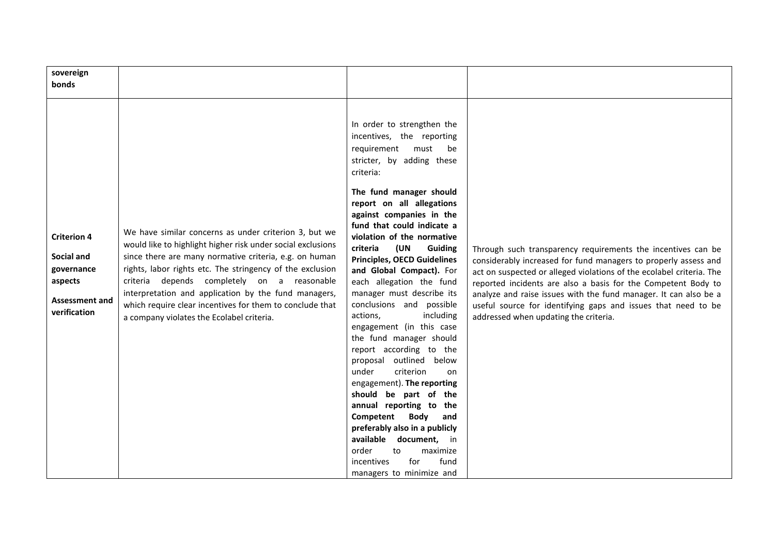| sovereign<br>bonds                                                                                 |                                                                                                                                                                                                                                                                                                                                                                                                                                                             |                                                                                                                                                                                                                                                                                                                                                                                                                                                                                                                                                                                                                                                                                                                                                                                                                                                                                                                 |                                                                                                                                                                                                                                                                                                                                                                                                                                                        |
|----------------------------------------------------------------------------------------------------|-------------------------------------------------------------------------------------------------------------------------------------------------------------------------------------------------------------------------------------------------------------------------------------------------------------------------------------------------------------------------------------------------------------------------------------------------------------|-----------------------------------------------------------------------------------------------------------------------------------------------------------------------------------------------------------------------------------------------------------------------------------------------------------------------------------------------------------------------------------------------------------------------------------------------------------------------------------------------------------------------------------------------------------------------------------------------------------------------------------------------------------------------------------------------------------------------------------------------------------------------------------------------------------------------------------------------------------------------------------------------------------------|--------------------------------------------------------------------------------------------------------------------------------------------------------------------------------------------------------------------------------------------------------------------------------------------------------------------------------------------------------------------------------------------------------------------------------------------------------|
| <b>Criterion 4</b><br>Social and<br>governance<br>aspects<br><b>Assessment and</b><br>verification | We have similar concerns as under criterion 3, but we<br>would like to highlight higher risk under social exclusions<br>since there are many normative criteria, e.g. on human<br>rights, labor rights etc. The stringency of the exclusion<br>criteria depends completely on a reasonable<br>interpretation and application by the fund managers,<br>which require clear incentives for them to conclude that<br>a company violates the Ecolabel criteria. | In order to strengthen the<br>incentives, the reporting<br>requirement<br>must<br>be<br>stricter, by adding these<br>criteria:<br>The fund manager should<br>report on all allegations<br>against companies in the<br>fund that could indicate a<br>violation of the normative<br>(UN<br>criteria<br><b>Guiding</b><br><b>Principles, OECD Guidelines</b><br>and Global Compact). For<br>each allegation the fund<br>manager must describe its<br>conclusions and possible<br>actions,<br>including<br>engagement (in this case<br>the fund manager should<br>report according to the<br>outlined below<br>proposal<br>criterion<br>under<br>on<br>engagement). The reporting<br>should be part of the<br>annual reporting to the<br>Competent<br>Body<br>and<br>preferably also in a publicly<br>available<br>document, in<br>order<br>to<br>maximize<br>incentives<br>for<br>fund<br>managers to minimize and | Through such transparency requirements the incentives can be<br>considerably increased for fund managers to properly assess and<br>act on suspected or alleged violations of the ecolabel criteria. The<br>reported incidents are also a basis for the Competent Body to<br>analyze and raise issues with the fund manager. It can also be a<br>useful source for identifying gaps and issues that need to be<br>addressed when updating the criteria. |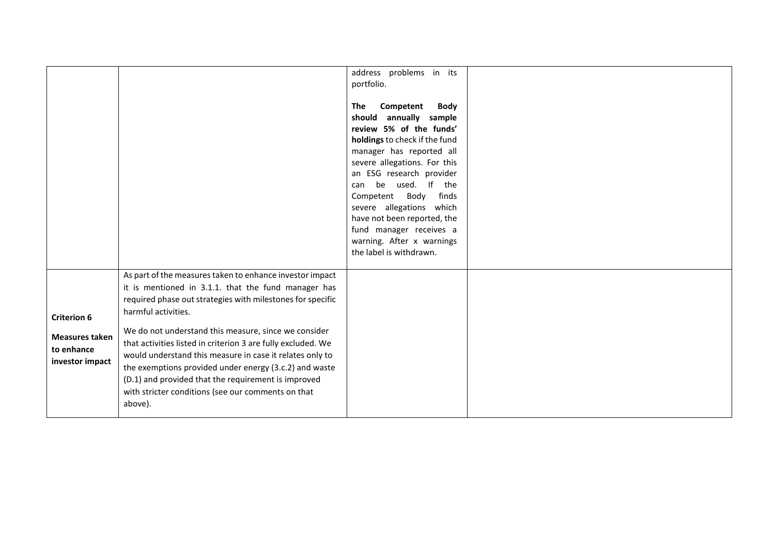|                                                                              |                                                                                                                                                                                                                                                                                                                                                                                                                                                                                                                                                                            | address problems in its<br>portfolio.<br>Competent<br><b>Body</b><br>The<br>should annually sample<br>review 5% of the funds'<br>holdings to check if the fund<br>manager has reported all<br>severe allegations. For this<br>an ESG research provider<br>can be used. If the<br>Body<br>finds<br>Competent<br>severe allegations which<br>have not been reported, the<br>fund manager receives a<br>warning. After x warnings<br>the label is withdrawn. |  |
|------------------------------------------------------------------------------|----------------------------------------------------------------------------------------------------------------------------------------------------------------------------------------------------------------------------------------------------------------------------------------------------------------------------------------------------------------------------------------------------------------------------------------------------------------------------------------------------------------------------------------------------------------------------|-----------------------------------------------------------------------------------------------------------------------------------------------------------------------------------------------------------------------------------------------------------------------------------------------------------------------------------------------------------------------------------------------------------------------------------------------------------|--|
| <b>Criterion 6</b><br><b>Measures taken</b><br>to enhance<br>investor impact | As part of the measures taken to enhance investor impact<br>it is mentioned in 3.1.1. that the fund manager has<br>required phase out strategies with milestones for specific<br>harmful activities.<br>We do not understand this measure, since we consider<br>that activities listed in criterion 3 are fully excluded. We<br>would understand this measure in case it relates only to<br>the exemptions provided under energy (3.c.2) and waste<br>(D.1) and provided that the requirement is improved<br>with stricter conditions (see our comments on that<br>above). |                                                                                                                                                                                                                                                                                                                                                                                                                                                           |  |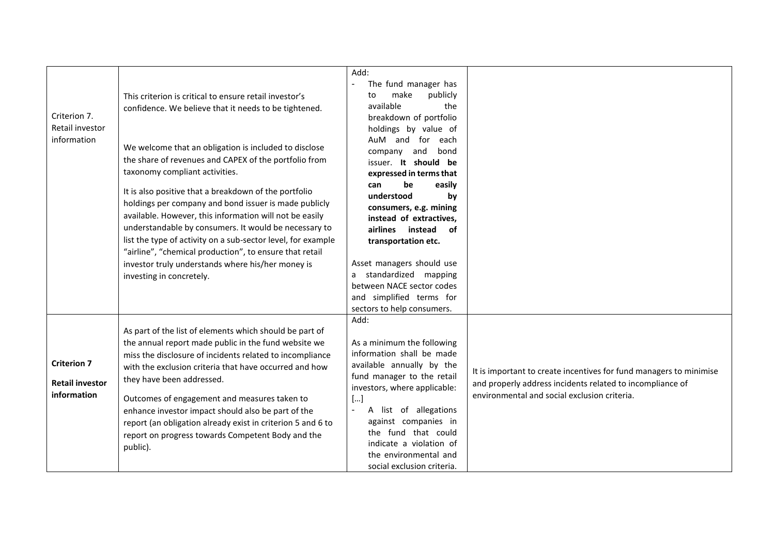| Criterion 7.<br>Retail investor<br>information              | This criterion is critical to ensure retail investor's<br>confidence. We believe that it needs to be tightened.<br>We welcome that an obligation is included to disclose<br>the share of revenues and CAPEX of the portfolio from<br>taxonomy compliant activities.<br>It is also positive that a breakdown of the portfolio<br>holdings per company and bond issuer is made publicly<br>available. However, this information will not be easily<br>understandable by consumers. It would be necessary to<br>list the type of activity on a sub-sector level, for example<br>"airline", "chemical production", to ensure that retail<br>investor truly understands where his/her money is<br>investing in concretely. | Add:<br>The fund manager has<br>make<br>publicly<br>to<br>available<br>the<br>breakdown of portfolio<br>holdings by value of<br>AuM and for each<br>and<br>bond<br>company<br>issuer. It should be<br>expressed in terms that<br>be<br>easily<br>can<br>understood<br>by<br>consumers, e.g. mining<br>instead of extractives,<br>airlines<br>instead<br>of<br>transportation etc.<br>Asset managers should use<br>standardized mapping<br>a<br>between NACE sector codes<br>and simplified terms for<br>sectors to help consumers. |                                                                                                                                                                                 |
|-------------------------------------------------------------|-----------------------------------------------------------------------------------------------------------------------------------------------------------------------------------------------------------------------------------------------------------------------------------------------------------------------------------------------------------------------------------------------------------------------------------------------------------------------------------------------------------------------------------------------------------------------------------------------------------------------------------------------------------------------------------------------------------------------|------------------------------------------------------------------------------------------------------------------------------------------------------------------------------------------------------------------------------------------------------------------------------------------------------------------------------------------------------------------------------------------------------------------------------------------------------------------------------------------------------------------------------------|---------------------------------------------------------------------------------------------------------------------------------------------------------------------------------|
| <b>Criterion 7</b><br><b>Retail investor</b><br>information | As part of the list of elements which should be part of<br>the annual report made public in the fund website we<br>miss the disclosure of incidents related to incompliance<br>with the exclusion criteria that have occurred and how<br>they have been addressed.<br>Outcomes of engagement and measures taken to<br>enhance investor impact should also be part of the<br>report (an obligation already exist in criterion 5 and 6 to<br>report on progress towards Competent Body and the<br>public).                                                                                                                                                                                                              | Add:<br>As a minimum the following<br>information shall be made<br>available annually by the<br>fund manager to the retail<br>investors, where applicable:<br>[]<br>A list of allegations<br>$\sim$<br>against companies in<br>the fund that could<br>indicate a violation of<br>the environmental and<br>social exclusion criteria.                                                                                                                                                                                               | It is important to create incentives for fund managers to minimise<br>and properly address incidents related to incompliance of<br>environmental and social exclusion criteria. |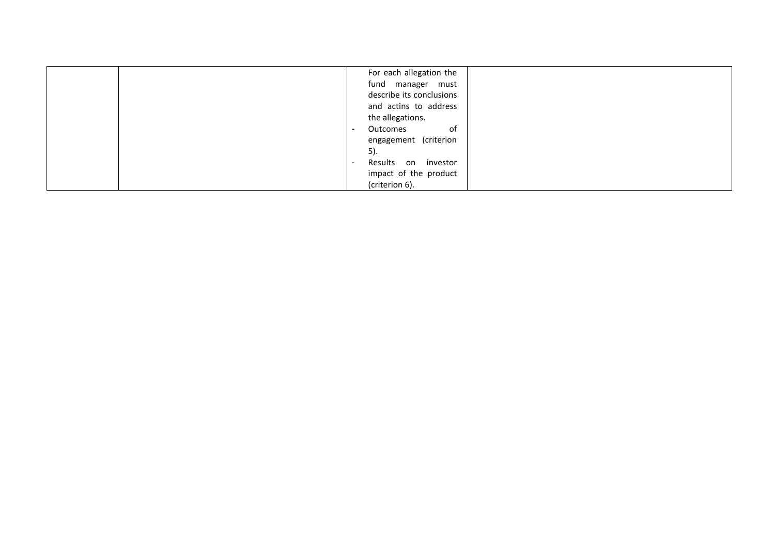| For each allegation the                    |
|--------------------------------------------|
| fund manager must                          |
| describe its conclusions                   |
| and actins to address                      |
| the allegations.                           |
| of<br>Outcomes<br>$\overline{\phantom{a}}$ |
| engagement (criterion                      |
| 5).                                        |
| Results on investor<br>۰                   |
| impact of the product                      |
| (criterion 6).                             |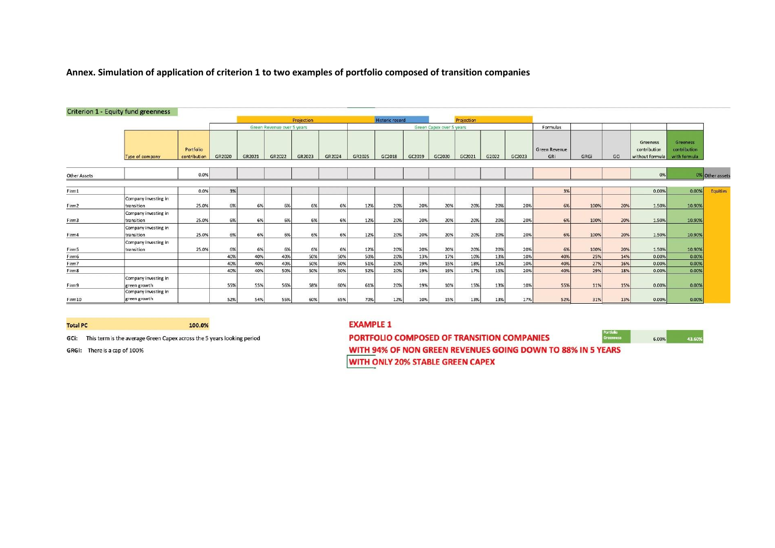**Annex. Simulation of application of criterion 1 to two examples of portfolio composed of transition companies**

|                     | <b>Criterion 1 - Equity fund greenness</b>                   |                            |        |        |        |            |                          |        |                        |        |        |            |       |          |                             |      |     |                                             |                                          |                 |
|---------------------|--------------------------------------------------------------|----------------------------|--------|--------|--------|------------|--------------------------|--------|------------------------|--------|--------|------------|-------|----------|-----------------------------|------|-----|---------------------------------------------|------------------------------------------|-----------------|
|                     |                                                              |                            |        |        |        | Projection |                          |        | <b>Historic record</b> |        |        | Projection |       |          |                             |      |     |                                             |                                          |                 |
|                     |                                                              | Green Revenue over 5 years |        |        |        |            | Green Capex over 5 years |        |                        |        |        |            |       | Formulas |                             |      |     |                                             |                                          |                 |
|                     | Type of company                                              | Portfolio<br>contribution  | GR2020 | GR2021 | GR2022 | GR2023     | GR2024                   | GR2025 | GC2018                 | GC2019 | GC2020 | GC2021     | G2022 | GC2023   | <b>Green Revenue</b><br>GRI | GRGi | GCI | Greeness<br>contribution<br>without formula | Greeness<br>contribution<br>with formula |                 |
| <b>Other Assets</b> |                                                              | 0.0%                       |        |        |        |            |                          |        |                        |        |        |            |       |          |                             |      |     | 0%                                          |                                          | 0% Other assets |
| Firm1               |                                                              | 0.0%                       | 3%     |        |        |            |                          |        |                        |        |        |            |       |          | 3%                          |      |     | 0.00%                                       | 0.00%                                    | Equities        |
| Firm2               | Company investing in<br>transition                           | 25.0%                      | 6%     | 6%     | 6%     | 6%         | 6%                       | 12%    | 20%                    | 20%    | 20%    | 20%        | 20%   | 20%      | 6%                          | 100% | 20% | 1.50%                                       | 10.90%                                   |                 |
| Firm3               | Company investing in<br>transition                           | 25.0%                      | 6%     | 6%     | 6%     | 6%         | 6%                       | 12%    | 20%                    | 20%    | 20%    | 20%        | 20%   | 20%      | 6%                          | 100% | 20% | 1.50%                                       | 10.90%                                   |                 |
| Firm4               | Company investing in<br>transition                           | 25.0%                      | 6%     | 6%     | 6%     | 6%         | 6%                       | 12%    | 20%                    | 20%    | 20%    | 20%        | 20%   | 20%      | 6%                          | 100% | 20% | 1.50%                                       | 10.90%                                   |                 |
| Firm5               | Company investing in<br>transition                           | 25.0%                      | 6%     | 6%     | 6%     | 6%         | 6%                       | 12%    | 20%                    | 20%    | 20%    | 20%        | 20%   | 20%      | 6%                          | 100% | 20% | 1.50%                                       | 10.90%                                   |                 |
| Firm6               |                                                              |                            | 40%    | 40%    | 40%    | 50%        | 50%                      | 50%    | 20%                    | 13%    | 17%    | 10%        | 13%   | 10%      | 40%                         | 25%  | 14% | 0.00%                                       | 0.00%                                    |                 |
| Firm7               |                                                              |                            | 40%    | 40%    | 40%    | 50%        | 50%                      | 51%    | 20%                    | 19%    | 15%    | 18%        | 12%   | 10%      | 40%                         | 27%  | 16% | 0.00%                                       | 0.00%                                    |                 |
| Firm8               |                                                              |                            | 40%    | 40%    | 50%    | 50%        | 50%                      | 52%    | 20%                    | 19%    | 19%    | 17%        | 15%   | 20%      | 40%                         | 29%  | 18% | 0.00%                                       | 0.00%                                    |                 |
| Firm9               | Company investing in<br>green growth<br>Company investing in |                            | 55%    | 55%    | 56%    | 58%        | 60%                      | 61%    | 20%                    | 19%    | 10%    | 15%        | 13%   | 10%      | 55%                         | 11%  | 15% | 0.00%                                       | 0.00%                                    |                 |
| Firm10              | green growth                                                 |                            | 52%    | 54%    | 55%    | 60%        | 65%                      | 70%    | 12%                    | 10%    | 15%    | 13%        | 13%   | 17%      | 52%                         | 31%  | 13% | 0.00%                                       | 0.00%                                    |                 |

**Total PC** 

100.0%

GCI: This term is the average Green Capex across the 5 years looking period

GRGi: There is a cap of 100%

#### **EXAMPLE 1**

P<mark>ortfolio</mark><br>Greenness PORTFOLIO COMPOSED OF TRANSITION COMPANIES 6.00% WITH 94% OF NON GREEN REVENUES GOING DOWN TO 88% IN 5 YEARS

43.60

WITH ONLY 20% STABLE GREEN CAPEX